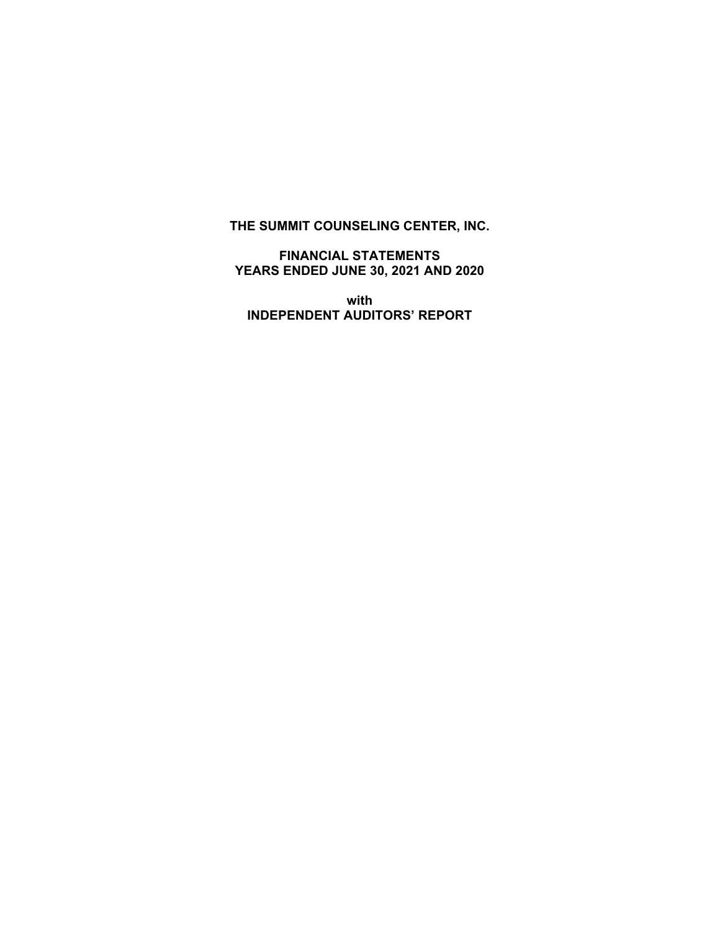**THE SUMMIT COUNSELING CENTER, INC.** 

**FINANCIAL STATEMENTS YEARS ENDED JUNE 30, 2021 AND 2020** 

**with INDEPENDENT AUDITORS' REPORT**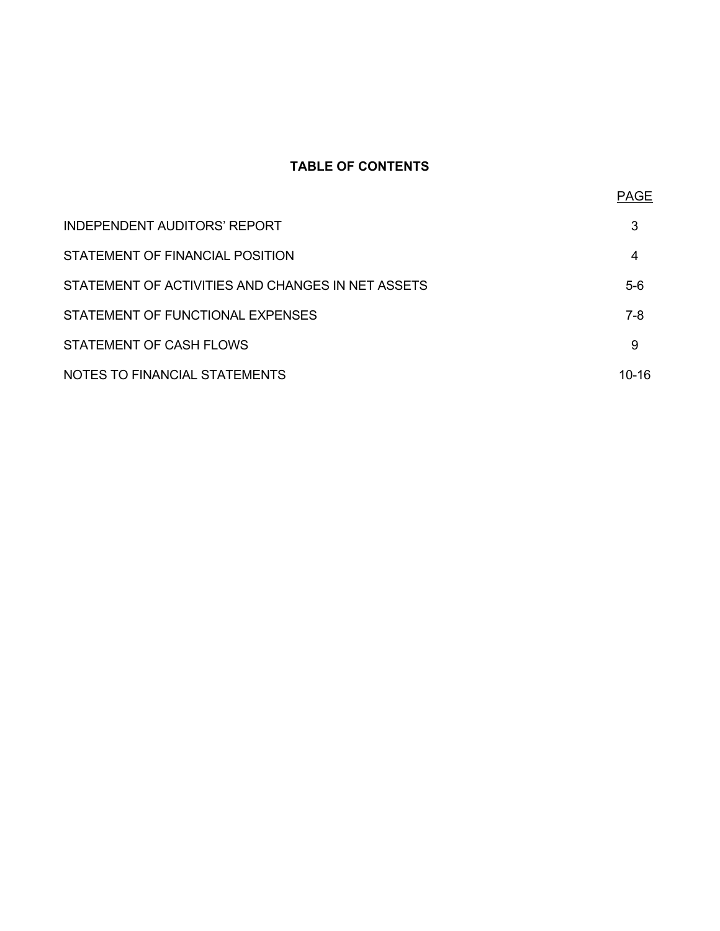# **TABLE OF CONTENTS**

PAGE

| INDEPENDENT AUDITORS' REPORT                      | 3     |
|---------------------------------------------------|-------|
| STATEMENT OF FINANCIAL POSITION                   | 4     |
| STATEMENT OF ACTIVITIES AND CHANGES IN NET ASSETS | $5-6$ |
| STATEMENT OF FUNCTIONAL EXPENSES                  | 7-8   |
| STATEMENT OF CASH FLOWS                           | 9     |
| NOTES TO FINANCIAL STATEMENTS                     | 10-16 |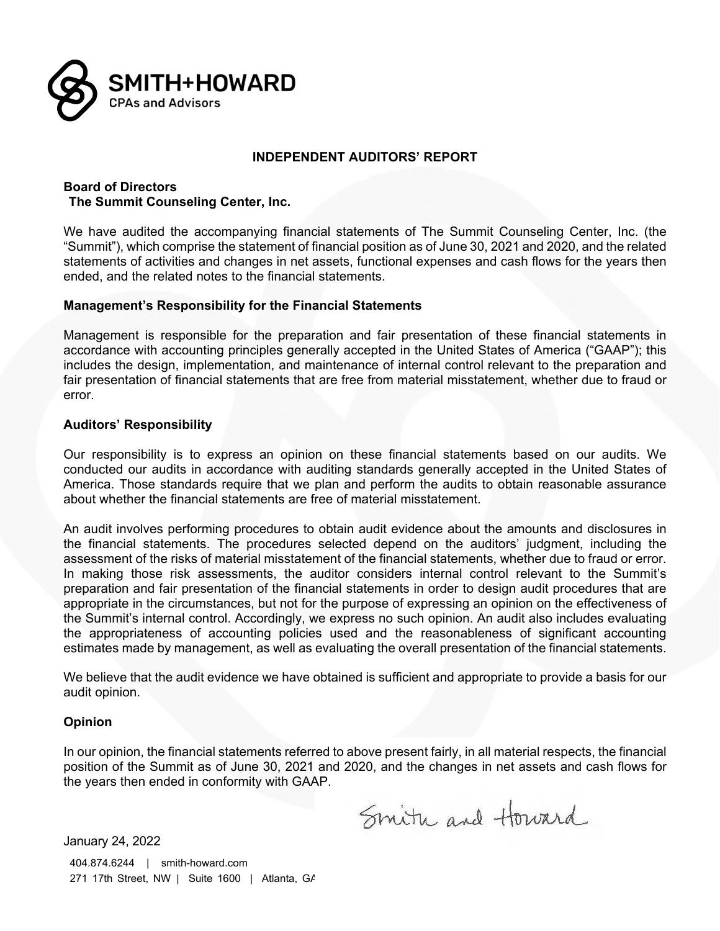

### **INDEPENDENT AUDITORS' REPORT**

### **Board of Directors The Summit Counseling Center, Inc.**

We have audited the accompanying financial statements of The Summit Counseling Center, Inc. (the "Summit"), which comprise the statement of financial position as of June 30, 2021 and 2020, and the related statements of activities and changes in net assets, functional expenses and cash flows for the years then ended, and the related notes to the financial statements.

### **Management's Responsibility for the Financial Statements**

Management is responsible for the preparation and fair presentation of these financial statements in accordance with accounting principles generally accepted in the United States of America ("GAAP"); this includes the design, implementation, and maintenance of internal control relevant to the preparation and fair presentation of financial statements that are free from material misstatement, whether due to fraud or error.

### **Auditors' Responsibility**

Our responsibility is to express an opinion on these financial statements based on our audits. We conducted our audits in accordance with auditing standards generally accepted in the United States of America. Those standards require that we plan and perform the audits to obtain reasonable assurance about whether the financial statements are free of material misstatement.

An audit involves performing procedures to obtain audit evidence about the amounts and disclosures in the financial statements. The procedures selected depend on the auditors' judgment, including the assessment of the risks of material misstatement of the financial statements, whether due to fraud or error. In making those risk assessments, the auditor considers internal control relevant to the Summit's preparation and fair presentation of the financial statements in order to design audit procedures that are appropriate in the circumstances, but not for the purpose of expressing an opinion on the effectiveness of the Summit's internal control. Accordingly, we express no such opinion. An audit also includes evaluating the appropriateness of accounting policies used and the reasonableness of significant accounting estimates made by management, as well as evaluating the overall presentation of the financial statements.

We believe that the audit evidence we have obtained is sufficient and appropriate to provide a basis for our audit opinion.

## **Opinion**

January 24, 2022

In our opinion, the financial statements referred to above present fairly, in all material respects, the financial position of the Summit as of June 30, 2021 and 2020, and the changes in net assets and cash flows for the years then ended in conformity with GAAP.

Smith and Howard

404.874.6244 | smith-howard.com 271 17th Street, NW | Suite 1600 | Atlanta, GA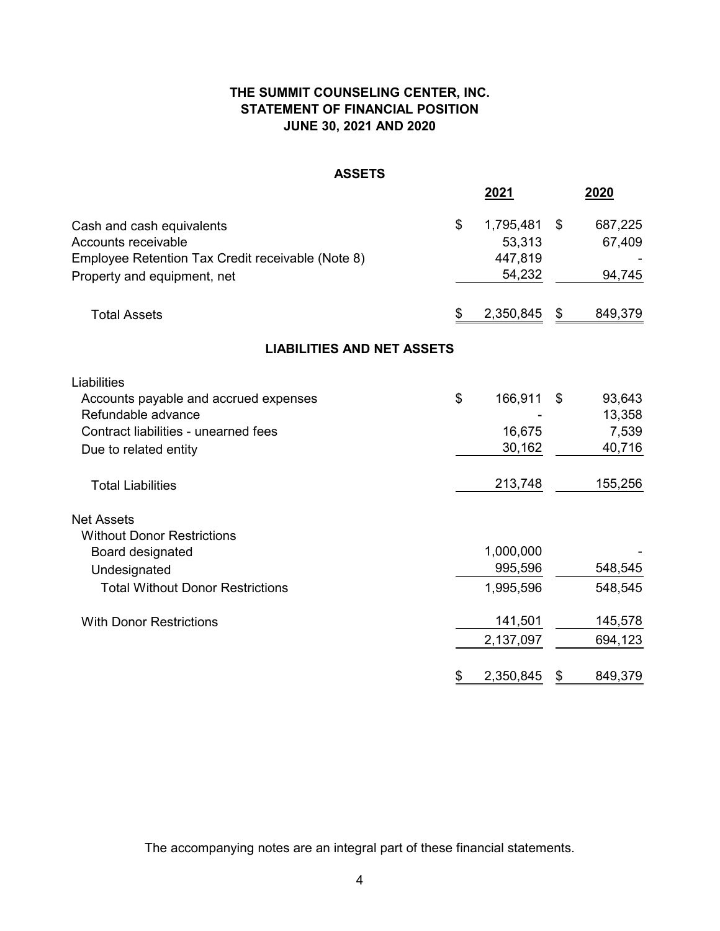# **THE SUMMIT COUNSELING CENTER, INC. STATEMENT OF FINANCIAL POSITION JUNE 30, 2021 AND 2020**

### **ASSETS**

|                                                   | <u>2021</u>     | <u>2020</u>   |
|---------------------------------------------------|-----------------|---------------|
| Cash and cash equivalents                         | \$<br>1,795,481 | \$<br>687,225 |
| Accounts receivable                               | 53,313          | 67,409        |
| Employee Retention Tax Credit receivable (Note 8) | 447,819         |               |
| Property and equipment, net                       | 54,232          | 94,745        |
| <b>Total Assets</b>                               | \$<br>2,350,845 | \$<br>849,379 |
| <b>LIABILITIES AND NET ASSETS</b>                 |                 |               |
| Liabilities                                       |                 |               |
| Accounts payable and accrued expenses             | \$<br>166,911   | \$<br>93,643  |
| Refundable advance                                |                 | 13,358        |
| Contract liabilities - unearned fees              | 16,675          | 7,539         |
| Due to related entity                             | 30,162          | 40,716        |
| <b>Total Liabilities</b>                          | 213,748         | 155,256       |
| <b>Net Assets</b>                                 |                 |               |
| <b>Without Donor Restrictions</b>                 |                 |               |
| Board designated                                  | 1,000,000       |               |
| Undesignated                                      | 995,596         | 548,545       |
| <b>Total Without Donor Restrictions</b>           | 1,995,596       | 548,545       |
| <b>With Donor Restrictions</b>                    | 141,501         | 145,578       |
|                                                   | 2,137,097       | 694,123       |
|                                                   | \$<br>2,350,845 | \$<br>849,379 |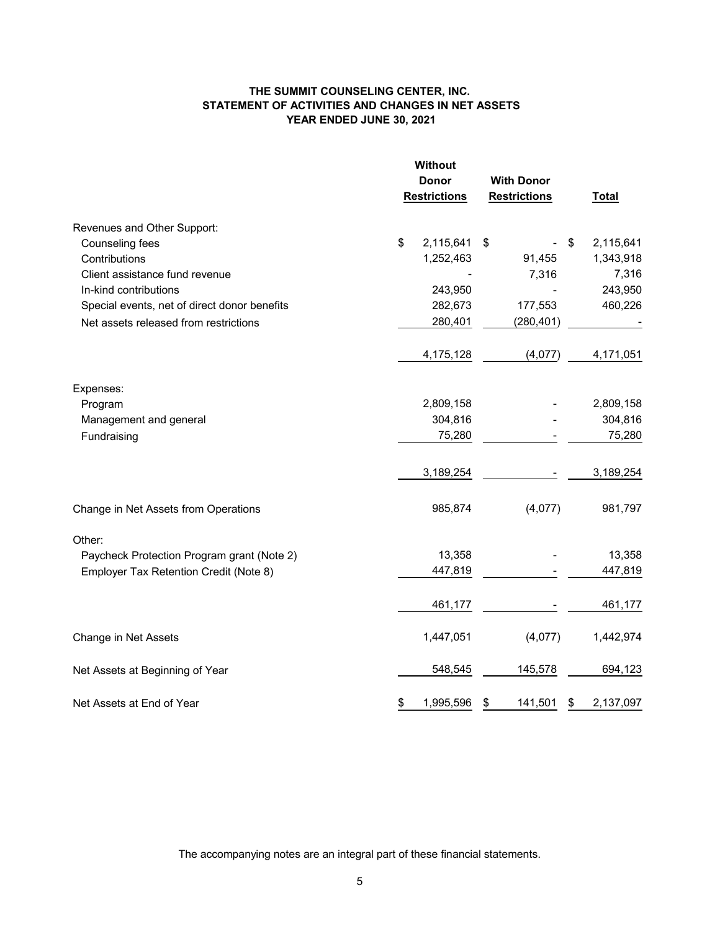#### **THE SUMMIT COUNSELING CENTER, INC. STATEMENT OF ACTIVITIES AND CHANGES IN NET ASSETS YEAR ENDED JUNE 30, 2021**

|                                              | <b>Without</b><br><b>Donor</b> | <b>With Donor</b>   |              |
|----------------------------------------------|--------------------------------|---------------------|--------------|
|                                              | <b>Restrictions</b>            | <b>Restrictions</b> | <b>Total</b> |
| Revenues and Other Support:                  |                                |                     |              |
| Counseling fees                              | 2,115,641<br>\$                | \$<br>\$            | 2,115,641    |
| Contributions                                | 1,252,463                      | 91,455              | 1,343,918    |
| Client assistance fund revenue               |                                | 7,316               | 7,316        |
| In-kind contributions                        | 243,950                        |                     | 243,950      |
| Special events, net of direct donor benefits | 282,673                        | 177,553             | 460,226      |
| Net assets released from restrictions        | 280,401                        | (280, 401)          |              |
|                                              | 4,175,128                      | (4,077)             | 4,171,051    |
| Expenses:                                    |                                |                     |              |
| Program                                      | 2,809,158                      |                     | 2,809,158    |
| Management and general                       | 304,816                        |                     | 304,816      |
| Fundraising                                  | 75,280                         |                     | 75,280       |
|                                              | 3,189,254                      |                     | 3,189,254    |
| Change in Net Assets from Operations         | 985,874                        | (4,077)             | 981,797      |
| Other:                                       |                                |                     |              |
| Paycheck Protection Program grant (Note 2)   | 13,358                         |                     | 13,358       |
| Employer Tax Retention Credit (Note 8)       | 447,819                        |                     | 447,819      |
|                                              | 461,177                        |                     | 461,177      |
| Change in Net Assets                         | 1,447,051                      | (4,077)             | 1,442,974    |
| Net Assets at Beginning of Year              | 548,545                        | 145,578             | 694,123      |
| Net Assets at End of Year                    | 1,995,596<br>\$                | 141,501<br>\$<br>\$ | 2,137,097    |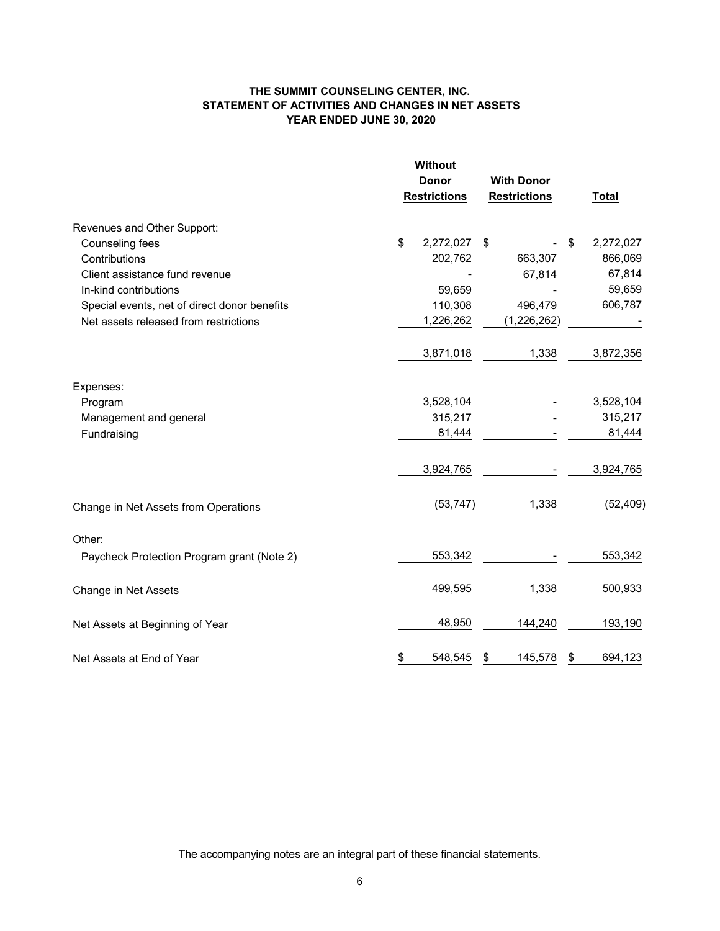#### **THE SUMMIT COUNSELING CENTER, INC. STATEMENT OF ACTIVITIES AND CHANGES IN NET ASSETS YEAR ENDED JUNE 30, 2020**

| Without<br><b>Donor</b><br><b>Restrictions</b> |                 | <b>With Donor</b><br><b>Restrictions</b> | <b>Total</b>    |
|------------------------------------------------|-----------------|------------------------------------------|-----------------|
| Revenues and Other Support:                    |                 |                                          |                 |
| Counseling fees                                | \$<br>2,272,027 | \$                                       | 2,272,027<br>\$ |
| Contributions                                  | 202,762         | 663,307                                  | 866,069         |
| Client assistance fund revenue                 |                 | 67,814                                   | 67,814          |
| In-kind contributions                          | 59,659          |                                          | 59,659          |
| Special events, net of direct donor benefits   | 110,308         | 496,479                                  | 606,787         |
| Net assets released from restrictions          | 1,226,262       | (1, 226, 262)                            |                 |
|                                                | 3,871,018       | 1,338                                    | 3,872,356       |
| Expenses:                                      |                 |                                          |                 |
| Program                                        | 3,528,104       |                                          | 3,528,104       |
| Management and general                         | 315,217         |                                          | 315,217         |
| Fundraising                                    | 81,444          |                                          | 81,444          |
|                                                | 3,924,765       |                                          | 3,924,765       |
| Change in Net Assets from Operations           | (53, 747)       | 1,338                                    | (52, 409)       |
| Other:                                         |                 |                                          |                 |
| Paycheck Protection Program grant (Note 2)     | 553,342         |                                          | 553,342         |
| Change in Net Assets                           | 499,595         | 1,338                                    | 500,933         |
| Net Assets at Beginning of Year                | 48,950          | 144,240                                  | 193,190         |
| Net Assets at End of Year                      | 548,545<br>\$   | 145,578<br>\$                            | 694,123<br>\$   |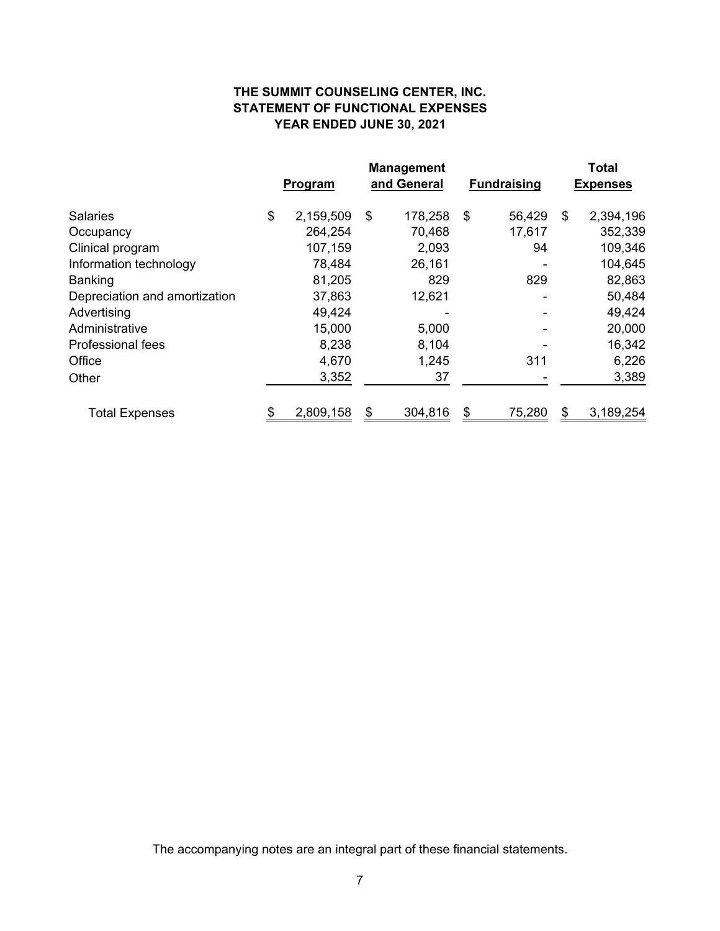# **THE SUMMIT COUNSELING CENTER, INC. STATEMENT OF FUNCTIONAL EXPENSES YEAR ENDED JUNE 30, 2021**

|                               | Program         | <b>Management</b><br>and General | <b>Fundraising</b> | <b>Total</b><br><b>Expenses</b> |
|-------------------------------|-----------------|----------------------------------|--------------------|---------------------------------|
| <b>Salaries</b>               | \$<br>2,159,509 | \$<br>178,258                    | \$<br>56,429       | \$<br>2,394,196                 |
| Occupancy                     | 264,254         | 70,468                           | 17,617             | 352,339                         |
| Clinical program              | 107,159         | 2,093                            | 94                 | 109,346                         |
| Information technology        | 78,484          | 26,161                           |                    | 104,645                         |
| Banking                       | 81,205          | 829                              | 829                | 82,863                          |
| Depreciation and amortization | 37,863          | 12,621                           |                    | 50,484                          |
| Advertising                   | 49,424          |                                  |                    | 49,424                          |
| Administrative                | 15,000          | 5,000                            |                    | 20,000                          |
| <b>Professional fees</b>      | 8,238           | 8,104                            |                    | 16,342                          |
| Office                        | 4,670           | 1,245                            | 311                | 6,226                           |
| Other                         | 3,352           | 37                               |                    | 3,389                           |
| <b>Total Expenses</b>         | \$<br>2,809,158 | \$<br>304,816                    | \$<br>75,280       | \$<br>3,189,254                 |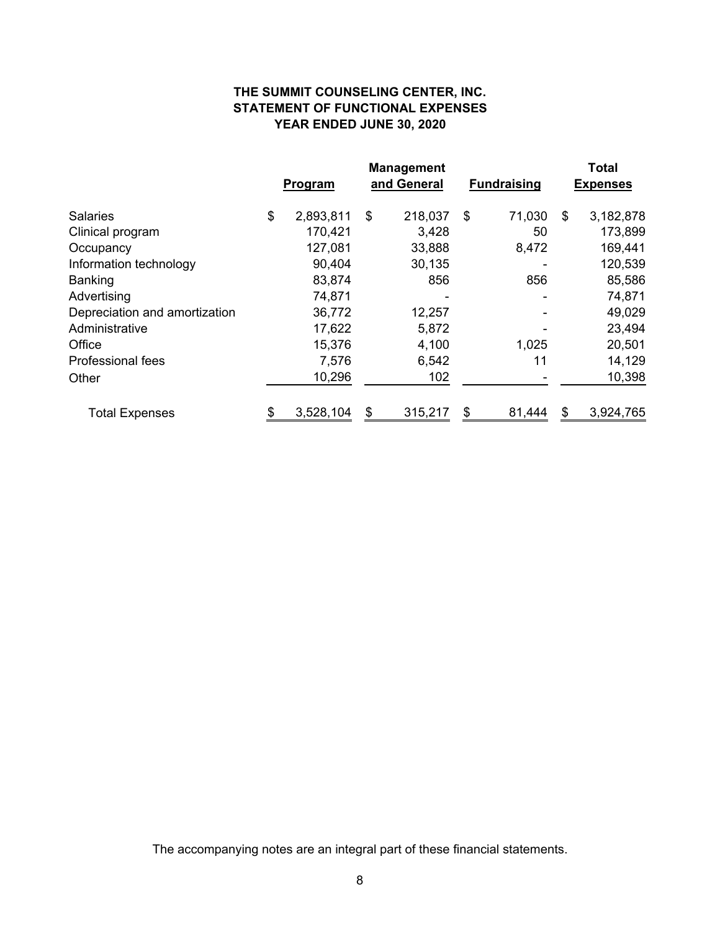# **THE SUMMIT COUNSELING CENTER, INC. STATEMENT OF FUNCTIONAL EXPENSES YEAR ENDED JUNE 30, 2020**

|                               | Program         | <b>Management</b><br>and General | <b>Fundraising</b> | <b>Total</b><br><b>Expenses</b> |
|-------------------------------|-----------------|----------------------------------|--------------------|---------------------------------|
| <b>Salaries</b>               | \$<br>2,893,811 | \$<br>218,037                    | \$<br>71,030       | \$<br>3,182,878                 |
| Clinical program              | 170,421         | 3,428                            | 50                 | 173,899                         |
| Occupancy                     | 127,081         | 33,888                           | 8,472              | 169,441                         |
| Information technology        | 90,404          | 30,135                           |                    | 120,539                         |
| <b>Banking</b>                | 83,874          | 856                              | 856                | 85,586                          |
| Advertising                   | 74,871          |                                  |                    | 74,871                          |
| Depreciation and amortization | 36,772          | 12,257                           |                    | 49,029                          |
| Administrative                | 17,622          | 5,872                            |                    | 23,494                          |
| Office                        | 15,376          | 4,100                            | 1,025              | 20,501                          |
| <b>Professional fees</b>      | 7,576           | 6,542                            | 11                 | 14,129                          |
| Other                         | 10,296          | 102                              |                    | 10,398                          |
| <b>Total Expenses</b>         | \$<br>3,528,104 | \$<br>315,217                    | \$<br>81,444       | \$<br>3,924,765                 |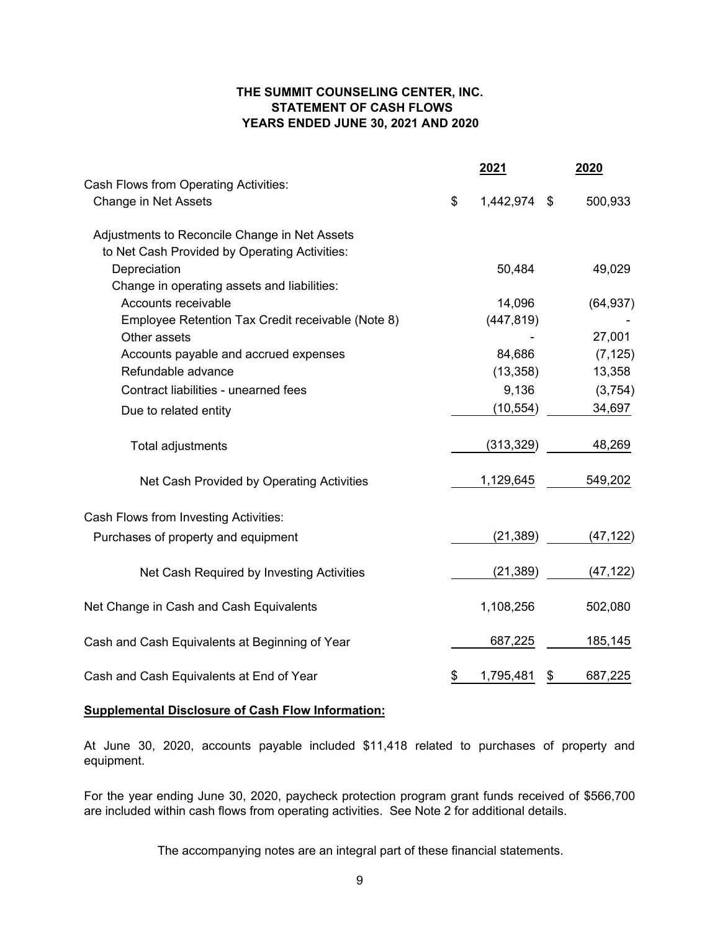## **THE SUMMIT COUNSELING CENTER, INC. STATEMENT OF CASH FLOWS YEARS ENDED JUNE 30, 2021 AND 2020**

|                                                               | 2021            | 2020          |
|---------------------------------------------------------------|-----------------|---------------|
| Cash Flows from Operating Activities:<br>Change in Net Assets | \$<br>1,442,974 | 500,933<br>\$ |
| Adjustments to Reconcile Change in Net Assets                 |                 |               |
| to Net Cash Provided by Operating Activities:                 |                 |               |
| Depreciation                                                  | 50,484          | 49,029        |
| Change in operating assets and liabilities:                   |                 |               |
| Accounts receivable                                           | 14,096          | (64, 937)     |
| Employee Retention Tax Credit receivable (Note 8)             | (447, 819)      |               |
| Other assets                                                  |                 | 27,001        |
| Accounts payable and accrued expenses                         | 84,686          | (7, 125)      |
| Refundable advance                                            | (13, 358)       | 13,358        |
| Contract liabilities - unearned fees                          | 9,136           | (3,754)       |
| Due to related entity                                         | (10, 554)       | 34,697        |
| Total adjustments                                             | (313, 329)      | 48,269        |
| Net Cash Provided by Operating Activities                     | 1,129,645       | 549,202       |
| Cash Flows from Investing Activities:                         |                 |               |
| Purchases of property and equipment                           | (21, 389)       | (47, 122)     |
| Net Cash Required by Investing Activities                     | (21, 389)       | (47, 122)     |
| Net Change in Cash and Cash Equivalents                       | 1,108,256       | 502,080       |
| Cash and Cash Equivalents at Beginning of Year                | 687,225         | 185,145       |
| Cash and Cash Equivalents at End of Year                      | \$<br>1,795,481 | 687,225<br>\$ |

#### **Supplemental Disclosure of Cash Flow Information:**

At June 30, 2020, accounts payable included \$11,418 related to purchases of property and equipment.

For the year ending June 30, 2020, paycheck protection program grant funds received of \$566,700 are included within cash flows from operating activities. See Note 2 for additional details.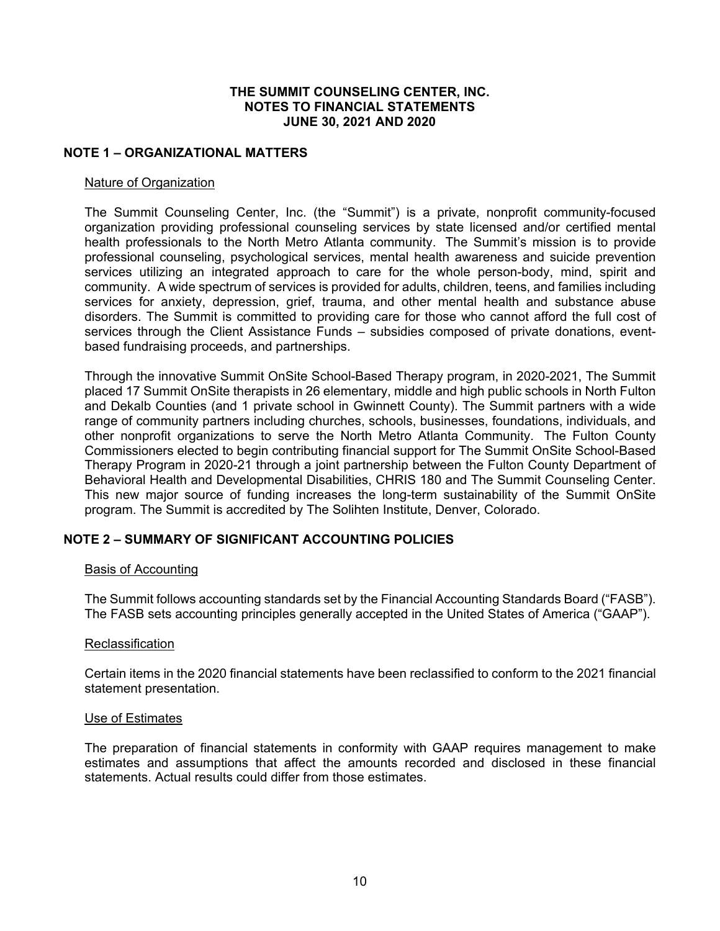#### **NOTE 1 – ORGANIZATIONAL MATTERS**

#### Nature of Organization

The Summit Counseling Center, Inc. (the "Summit") is a private, nonprofit community-focused organization providing professional counseling services by state licensed and/or certified mental health professionals to the North Metro Atlanta community. The Summit's mission is to provide professional counseling, psychological services, mental health awareness and suicide prevention services utilizing an integrated approach to care for the whole person-body, mind, spirit and community. A wide spectrum of services is provided for adults, children, teens, and families including services for anxiety, depression, grief, trauma, and other mental health and substance abuse disorders. The Summit is committed to providing care for those who cannot afford the full cost of services through the Client Assistance Funds – subsidies composed of private donations, eventbased fundraising proceeds, and partnerships.

Through the innovative Summit OnSite School-Based Therapy program, in 2020-2021, The Summit placed 17 Summit OnSite therapists in 26 elementary, middle and high public schools in North Fulton and Dekalb Counties (and 1 private school in Gwinnett County). The Summit partners with a wide range of community partners including churches, schools, businesses, foundations, individuals, and other nonprofit organizations to serve the North Metro Atlanta Community. The Fulton County Commissioners elected to begin contributing financial support for The Summit OnSite School-Based Therapy Program in 2020-21 through a joint partnership between the Fulton County Department of Behavioral Health and Developmental Disabilities, CHRIS 180 and The Summit Counseling Center. This new major source of funding increases the long-term sustainability of the Summit OnSite program. The Summit is accredited by The Solihten Institute, Denver, Colorado.

## **NOTE 2 – SUMMARY OF SIGNIFICANT ACCOUNTING POLICIES**

#### Basis of Accounting

The Summit follows accounting standards set by the Financial Accounting Standards Board ("FASB"). The FASB sets accounting principles generally accepted in the United States of America ("GAAP").

#### **Reclassification**

Certain items in the 2020 financial statements have been reclassified to conform to the 2021 financial statement presentation.

#### Use of Estimates

The preparation of financial statements in conformity with GAAP requires management to make estimates and assumptions that affect the amounts recorded and disclosed in these financial statements. Actual results could differ from those estimates.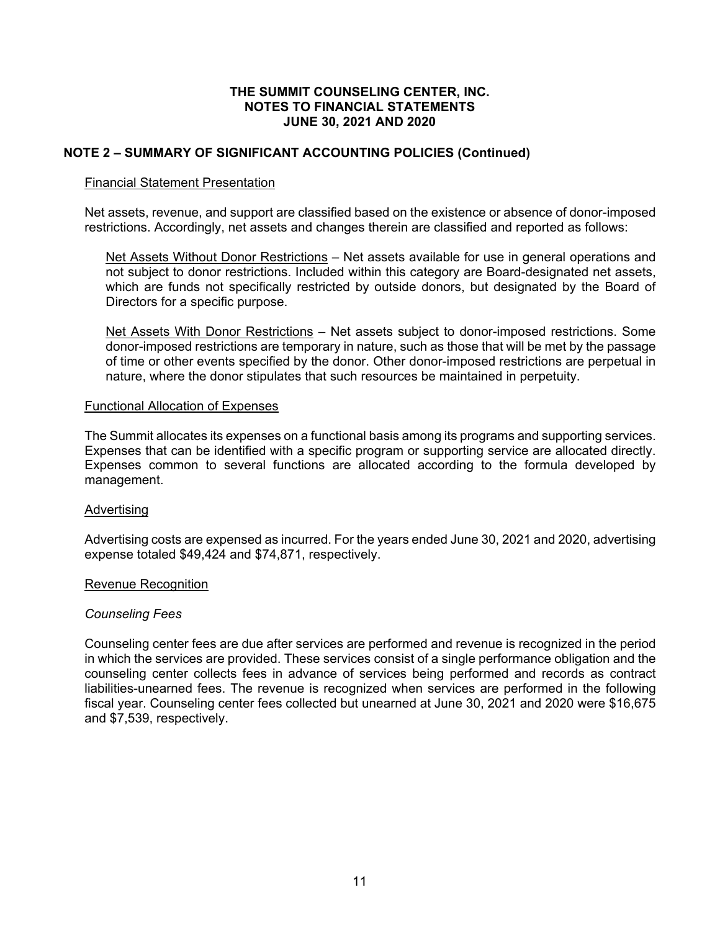## **NOTE 2 – SUMMARY OF SIGNIFICANT ACCOUNTING POLICIES (Continued)**

#### Financial Statement Presentation

Net assets, revenue, and support are classified based on the existence or absence of donor-imposed restrictions. Accordingly, net assets and changes therein are classified and reported as follows:

Net Assets Without Donor Restrictions – Net assets available for use in general operations and not subject to donor restrictions. Included within this category are Board-designated net assets, which are funds not specifically restricted by outside donors, but designated by the Board of Directors for a specific purpose.

Net Assets With Donor Restrictions – Net assets subject to donor-imposed restrictions. Some donor-imposed restrictions are temporary in nature, such as those that will be met by the passage of time or other events specified by the donor. Other donor-imposed restrictions are perpetual in nature, where the donor stipulates that such resources be maintained in perpetuity.

#### Functional Allocation of Expenses

The Summit allocates its expenses on a functional basis among its programs and supporting services. Expenses that can be identified with a specific program or supporting service are allocated directly. Expenses common to several functions are allocated according to the formula developed by management.

## Advertising

Advertising costs are expensed as incurred. For the years ended June 30, 2021 and 2020, advertising expense totaled \$49,424 and \$74,871, respectively.

#### Revenue Recognition

## *Counseling Fees*

Counseling center fees are due after services are performed and revenue is recognized in the period in which the services are provided. These services consist of a single performance obligation and the counseling center collects fees in advance of services being performed and records as contract liabilities-unearned fees. The revenue is recognized when services are performed in the following fiscal year. Counseling center fees collected but unearned at June 30, 2021 and 2020 were \$16,675 and \$7,539, respectively.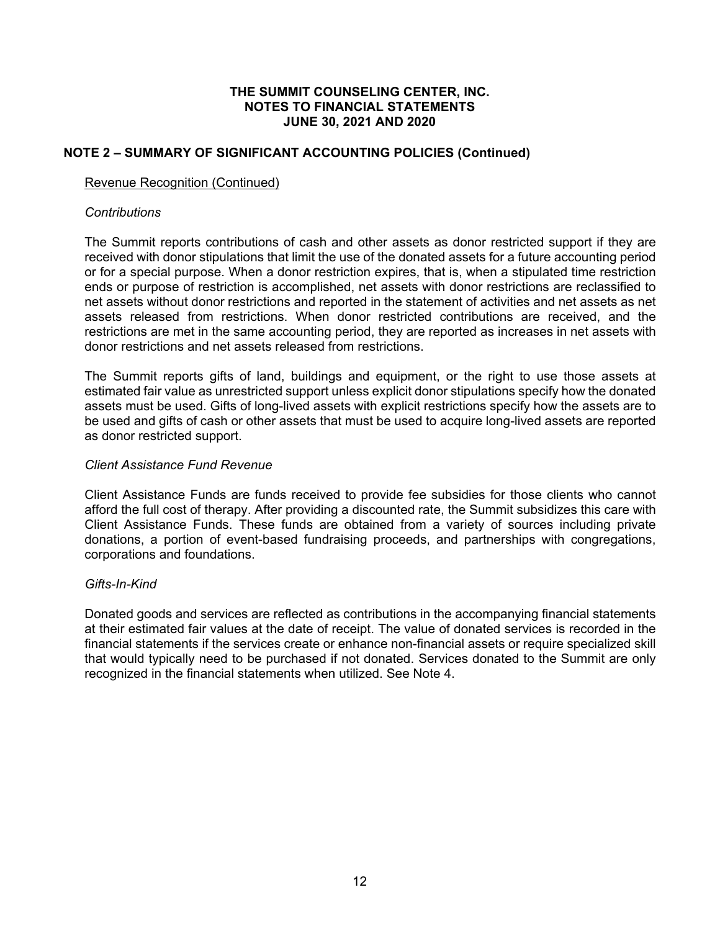## **NOTE 2 – SUMMARY OF SIGNIFICANT ACCOUNTING POLICIES (Continued)**

#### Revenue Recognition (Continued)

#### *Contributions*

The Summit reports contributions of cash and other assets as donor restricted support if they are received with donor stipulations that limit the use of the donated assets for a future accounting period or for a special purpose. When a donor restriction expires, that is, when a stipulated time restriction ends or purpose of restriction is accomplished, net assets with donor restrictions are reclassified to net assets without donor restrictions and reported in the statement of activities and net assets as net assets released from restrictions. When donor restricted contributions are received, and the restrictions are met in the same accounting period, they are reported as increases in net assets with donor restrictions and net assets released from restrictions.

The Summit reports gifts of land, buildings and equipment, or the right to use those assets at estimated fair value as unrestricted support unless explicit donor stipulations specify how the donated assets must be used. Gifts of long-lived assets with explicit restrictions specify how the assets are to be used and gifts of cash or other assets that must be used to acquire long-lived assets are reported as donor restricted support.

#### *Client Assistance Fund Revenue*

Client Assistance Funds are funds received to provide fee subsidies for those clients who cannot afford the full cost of therapy. After providing a discounted rate, the Summit subsidizes this care with Client Assistance Funds. These funds are obtained from a variety of sources including private donations, a portion of event-based fundraising proceeds, and partnerships with congregations, corporations and foundations.

#### *Gifts-In-Kind*

Donated goods and services are reflected as contributions in the accompanying financial statements at their estimated fair values at the date of receipt. The value of donated services is recorded in the financial statements if the services create or enhance non-financial assets or require specialized skill that would typically need to be purchased if not donated. Services donated to the Summit are only recognized in the financial statements when utilized. See Note 4.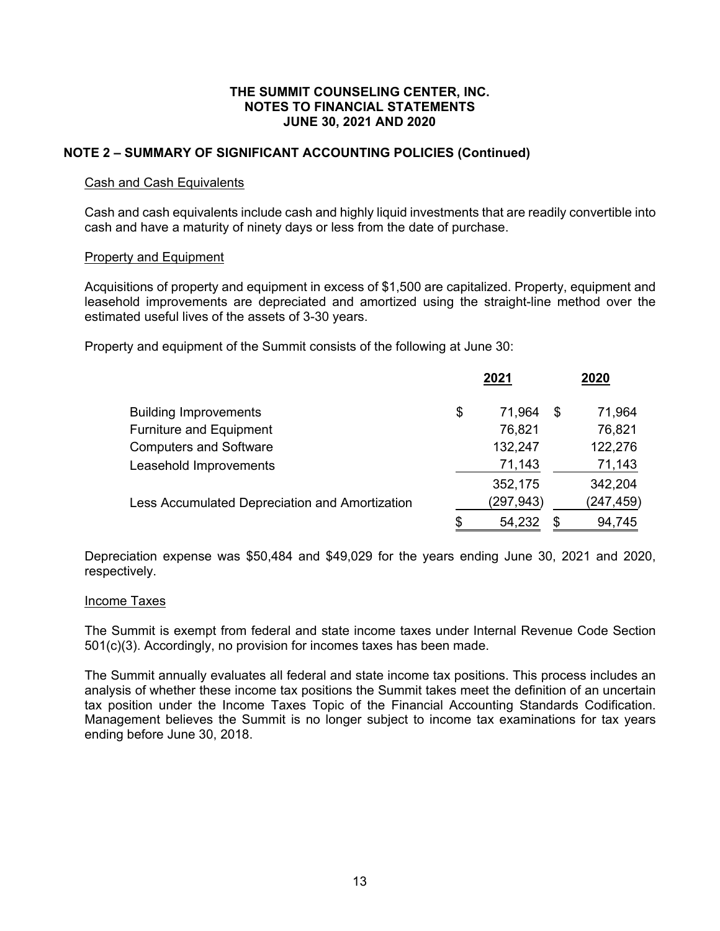## **NOTE 2 – SUMMARY OF SIGNIFICANT ACCOUNTING POLICIES (Continued)**

### Cash and Cash Equivalents

Cash and cash equivalents include cash and highly liquid investments that are readily convertible into cash and have a maturity of ninety days or less from the date of purchase.

#### Property and Equipment

Acquisitions of property and equipment in excess of \$1,500 are capitalized. Property, equipment and leasehold improvements are depreciated and amortized using the straight-line method over the estimated useful lives of the assets of 3-30 years.

Property and equipment of the Summit consists of the following at June 30:

|                                                | 2021         |    | 2020       |
|------------------------------------------------|--------------|----|------------|
| <b>Building Improvements</b>                   | \$<br>71,964 | \$ | 71,964     |
| <b>Furniture and Equipment</b>                 | 76,821       |    | 76,821     |
| <b>Computers and Software</b>                  | 132,247      |    | 122,276    |
| Leasehold Improvements                         | 71,143       |    | 71,143     |
|                                                | 352,175      |    | 342,204    |
| Less Accumulated Depreciation and Amortization | (297, 943)   |    | (247, 459) |
|                                                | \$<br>54,232 | S  | 94,745     |

Depreciation expense was \$50,484 and \$49,029 for the years ending June 30, 2021 and 2020, respectively.

#### Income Taxes

The Summit is exempt from federal and state income taxes under Internal Revenue Code Section 501(c)(3). Accordingly, no provision for incomes taxes has been made.

The Summit annually evaluates all federal and state income tax positions. This process includes an analysis of whether these income tax positions the Summit takes meet the definition of an uncertain tax position under the Income Taxes Topic of the Financial Accounting Standards Codification. Management believes the Summit is no longer subject to income tax examinations for tax years ending before June 30, 2018.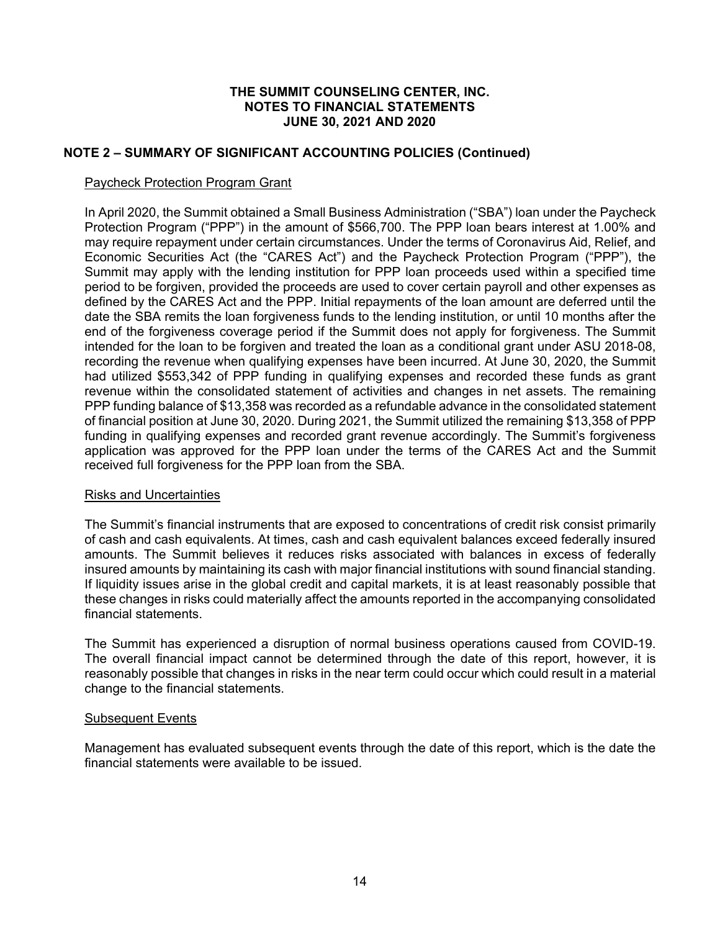## **NOTE 2 – SUMMARY OF SIGNIFICANT ACCOUNTING POLICIES (Continued)**

### Paycheck Protection Program Grant

In April 2020, the Summit obtained a Small Business Administration ("SBA") loan under the Paycheck Protection Program ("PPP") in the amount of \$566,700. The PPP loan bears interest at 1.00% and may require repayment under certain circumstances. Under the terms of Coronavirus Aid, Relief, and Economic Securities Act (the "CARES Act") and the Paycheck Protection Program ("PPP"), the Summit may apply with the lending institution for PPP loan proceeds used within a specified time period to be forgiven, provided the proceeds are used to cover certain payroll and other expenses as defined by the CARES Act and the PPP. Initial repayments of the loan amount are deferred until the date the SBA remits the loan forgiveness funds to the lending institution, or until 10 months after the end of the forgiveness coverage period if the Summit does not apply for forgiveness. The Summit intended for the loan to be forgiven and treated the loan as a conditional grant under ASU 2018-08, recording the revenue when qualifying expenses have been incurred. At June 30, 2020, the Summit had utilized \$553,342 of PPP funding in qualifying expenses and recorded these funds as grant revenue within the consolidated statement of activities and changes in net assets. The remaining PPP funding balance of \$13,358 was recorded as a refundable advance in the consolidated statement of financial position at June 30, 2020. During 2021, the Summit utilized the remaining \$13,358 of PPP funding in qualifying expenses and recorded grant revenue accordingly. The Summit's forgiveness application was approved for the PPP loan under the terms of the CARES Act and the Summit received full forgiveness for the PPP loan from the SBA.

#### Risks and Uncertainties

The Summit's financial instruments that are exposed to concentrations of credit risk consist primarily of cash and cash equivalents. At times, cash and cash equivalent balances exceed federally insured amounts. The Summit believes it reduces risks associated with balances in excess of federally insured amounts by maintaining its cash with major financial institutions with sound financial standing. If liquidity issues arise in the global credit and capital markets, it is at least reasonably possible that these changes in risks could materially affect the amounts reported in the accompanying consolidated financial statements.

The Summit has experienced a disruption of normal business operations caused from COVID-19. The overall financial impact cannot be determined through the date of this report, however, it is reasonably possible that changes in risks in the near term could occur which could result in a material change to the financial statements.

#### Subsequent Events

Management has evaluated subsequent events through the date of this report, which is the date the financial statements were available to be issued.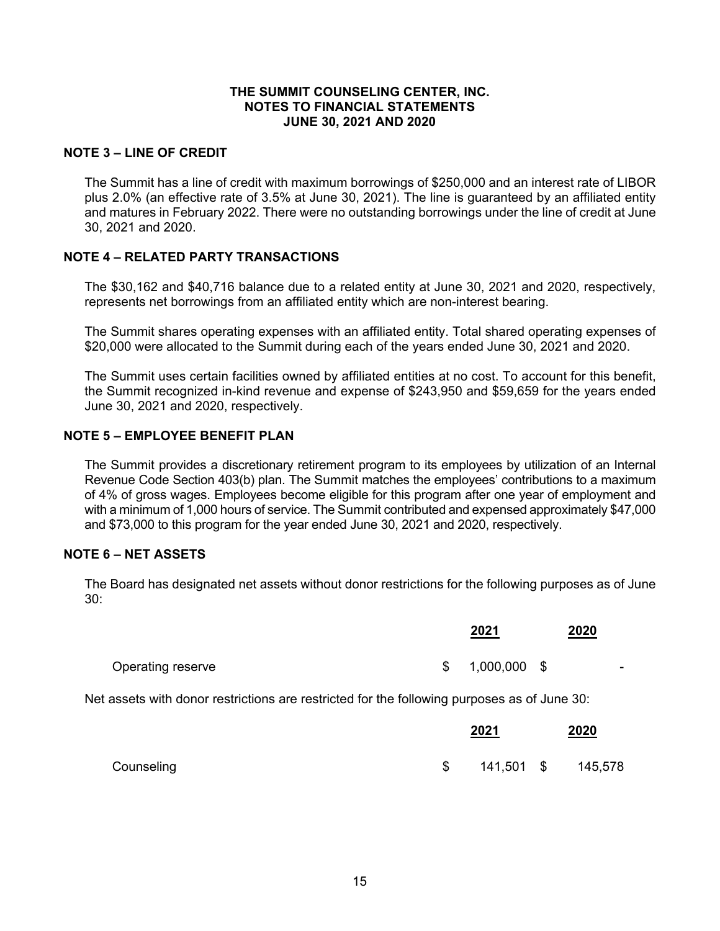#### **NOTE 3 – LINE OF CREDIT**

The Summit has a line of credit with maximum borrowings of \$250,000 and an interest rate of LIBOR plus 2.0% (an effective rate of 3.5% at June 30, 2021). The line is guaranteed by an affiliated entity and matures in February 2022. There were no outstanding borrowings under the line of credit at June 30, 2021 and 2020.

### **NOTE 4 – RELATED PARTY TRANSACTIONS**

The \$30,162 and \$40,716 balance due to a related entity at June 30, 2021 and 2020, respectively, represents net borrowings from an affiliated entity which are non-interest bearing.

The Summit shares operating expenses with an affiliated entity. Total shared operating expenses of \$20,000 were allocated to the Summit during each of the years ended June 30, 2021 and 2020.

The Summit uses certain facilities owned by affiliated entities at no cost. To account for this benefit, the Summit recognized in-kind revenue and expense of \$243,950 and \$59,659 for the years ended June 30, 2021 and 2020, respectively.

### **NOTE 5 – EMPLOYEE BENEFIT PLAN**

The Summit provides a discretionary retirement program to its employees by utilization of an Internal Revenue Code Section 403(b) plan. The Summit matches the employees' contributions to a maximum of 4% of gross wages. Employees become eligible for this program after one year of employment and with a minimum of 1,000 hours of service. The Summit contributed and expensed approximately \$47,000 and \$73,000 to this program for the year ended June 30, 2021 and 2020, respectively.

#### **NOTE 6 – NET ASSETS**

The Board has designated net assets without donor restrictions for the following purposes as of June 30:

|                   | 2021            | 2020 |   |
|-------------------|-----------------|------|---|
| Operating reserve | \$ 1,000,000 \$ |      | ٠ |

Net assets with donor restrictions are restricted for the following purposes as of June 30:

|            |          | 2021 | 2020               |
|------------|----------|------|--------------------|
| Counseling | <b>S</b> |      | 141,501 \$ 145,578 |